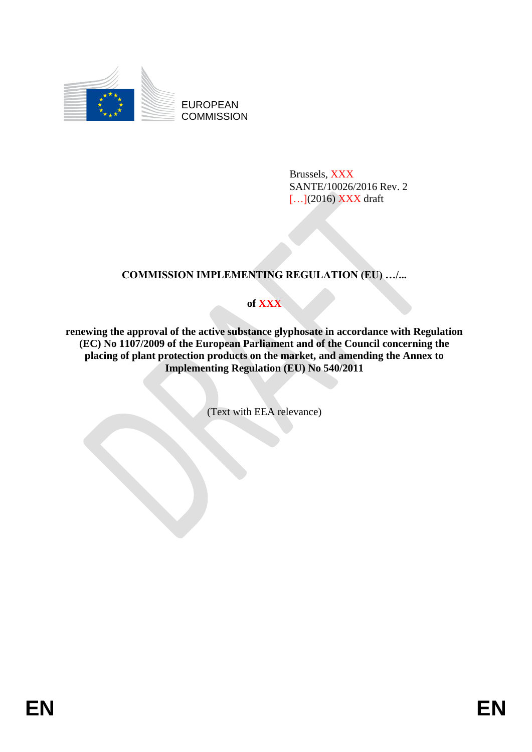

EUROPEAN **COMMISSION** 

> Brussels, XXX SANTE/10026/2016 Rev. 2  $[...]$ (2016) XXX draft

# **COMMISSION IMPLEMENTING REGULATION (EU) …/...**

**of XXX**

**renewing the approval of the active substance glyphosate in accordance with Regulation (EC) No 1107/2009 of the European Parliament and of the Council concerning the placing of plant protection products on the market, and amending the Annex to Implementing Regulation (EU) No 540/2011**

(Text with EEA relevance)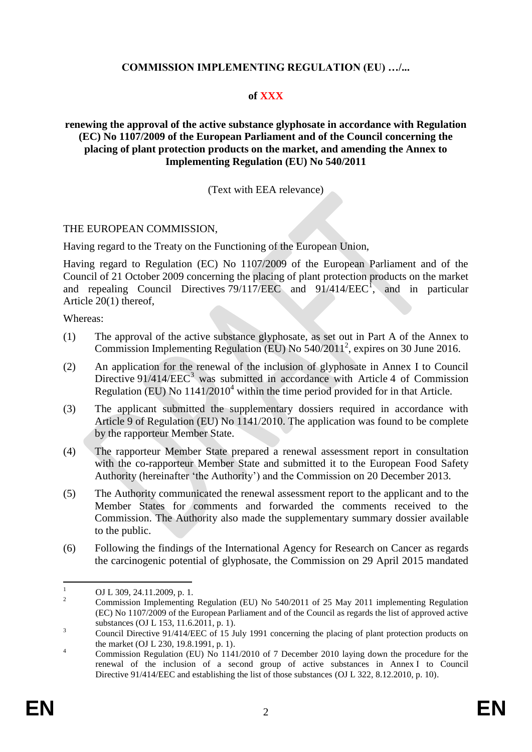## **COMMISSION IMPLEMENTING REGULATION (EU) …/...**

## **of XXX**

## **renewing the approval of the active substance glyphosate in accordance with Regulation (EC) No 1107/2009 of the European Parliament and of the Council concerning the placing of plant protection products on the market, and amending the Annex to Implementing Regulation (EU) No 540/2011**

## (Text with EEA relevance)

#### THE EUROPEAN COMMISSION,

Having regard to the Treaty on the Functioning of the European Union,

Having regard to Regulation (EC) No 1107/2009 of the European Parliament and of the Council of 21 October 2009 concerning the placing of plant protection products on the market and repealing Council Directives  $79/117/EEC$  and  $91/414/EEC<sup>1</sup>$ , and in particular Article 20(1) thereof,

Whereas:

- (1) The approval of the active substance glyphosate, as set out in Part A of the Annex to Commission Implementing Regulation (EU) No 540/2011<sup>2</sup>, expires on 30 June 2016.
- (2) An application for the renewal of the inclusion of glyphosate in Annex I to Council Directive  $91/414/EEC^3$  was submitted in accordance with Article 4 of Commission Regulation (EU) No  $1141/2010<sup>4</sup>$  within the time period provided for in that Article.
- (3) The applicant submitted the supplementary dossiers required in accordance with Article 9 of Regulation (EU) No 1141/2010. The application was found to be complete by the rapporteur Member State.
- (4) The rapporteur Member State prepared a renewal assessment report in consultation with the co-rapporteur Member State and submitted it to the European Food Safety Authority (hereinafter 'the Authority') and the Commission on 20 December 2013.
- (5) The Authority communicated the renewal assessment report to the applicant and to the Member States for comments and forwarded the comments received to the Commission. The Authority also made the supplementary summary dossier available to the public.
- (6) Following the findings of the International Agency for Research on Cancer as regards the carcinogenic potential of glyphosate, the Commission on 29 April 2015 mandated

 $\bar{1}$  $\frac{1}{2}$  OJ L 309, 24.11.2009, p. 1.

<sup>2</sup> Commission Implementing Regulation (EU) No 540/2011 of 25 May 2011 implementing Regulation (EC) No 1107/2009 of the European Parliament and of the Council as regards the list of approved active substances (OJ L 153, 11.6.2011, p. 1).

<sup>&</sup>lt;sup>3</sup><br><sup>3</sup> Council Directive 91/414/EEC of 15 July 1991 concerning the placing of plant protection products on the market (OJ L 230, 19.8.1991, p. 1).

<sup>&</sup>lt;sup>4</sup> Commission Regulation (EU) No 1141/2010 of 7 December 2010 laying down the procedure for the renewal of the inclusion of a second group of active substances in Annex I to Council Directive 91/414/EEC and establishing the list of those substances (OJ L 322, 8.12.2010, p. 10).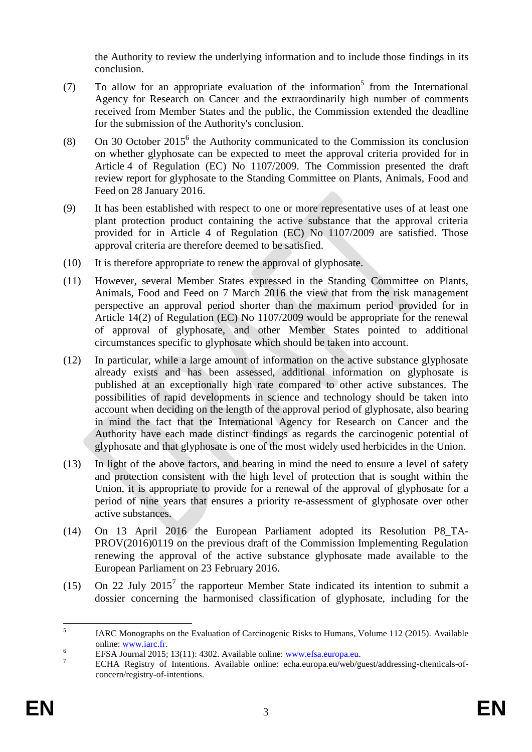the Authority to review the underlying information and to include those findings in its conclusion.

- (7) To allow for an appropriate evaluation of the information<sup>5</sup> from the International Agency for Research on Cancer and the extraordinarily high number of comments received from Member States and the public, the Commission extended the deadline for the submission of the Authority's conclusion.
- (8) On 30 October  $2015^6$  the Authority communicated to the Commission its conclusion on whether glyphosate can be expected to meet the approval criteria provided for in Article 4 of Regulation (EC) No 1107/2009. The Commission presented the draft review report for glyphosate to the Standing Committee on Plants, Animals, Food and Feed on 28 January 2016.
- (9) It has been established with respect to one or more representative uses of at least one plant protection product containing the active substance that the approval criteria provided for in Article 4 of Regulation (EC) No 1107/2009 are satisfied. Those approval criteria are therefore deemed to be satisfied.
- (10) It is therefore appropriate to renew the approval of glyphosate.
- (11) However, several Member States expressed in the Standing Committee on Plants, Animals, Food and Feed on 7 March 2016 the view that from the risk management perspective an approval period shorter than the maximum period provided for in Article 14(2) of Regulation (EC) No 1107/2009 would be appropriate for the renewal of approval of glyphosate, and other Member States pointed to additional circumstances specific to glyphosate which should be taken into account.
- (12) In particular, while a large amount of information on the active substance glyphosate already exists and has been assessed, additional information on glyphosate is published at an exceptionally high rate compared to other active substances. The possibilities of rapid developments in science and technology should be taken into account when deciding on the length of the approval period of glyphosate, also bearing in mind the fact that the International Agency for Research on Cancer and the Authority have each made distinct findings as regards the carcinogenic potential of glyphosate and that glyphosate is one of the most widely used herbicides in the Union.
- (13) In light of the above factors, and bearing in mind the need to ensure a level of safety and protection consistent with the high level of protection that is sought within the Union, it is appropriate to provide for a renewal of the approval of glyphosate for a period of nine years that ensures a priority re-assessment of glyphosate over other active substances.
- (14) On 13 April 2016 the European Parliament adopted its Resolution P8\_TA-PROV(2016)0119 on the previous draft of the Commission Implementing Regulation renewing the approval of the active substance glyphosate made available to the European Parliament on 23 February 2016.
- (15) On 22 July  $2015<sup>7</sup>$  the rapporteur Member State indicated its intention to submit a dossier concerning the harmonised classification of glyphosate, including for the

 $\frac{1}{5}$ IARC Monographs on the Evaluation of Carcinogenic Risks to Humans, Volume 112 (2015). Available online: [www.iarc.fr.](http://www.iarc.fr/)

EFSA Journal 2015; 13(11): 4302. Available online: [www.efsa.europa.eu.](http://www.efsa.europa.eu/)

<sup>7</sup> ECHA Registry of Intentions. Available online: echa.europa.eu/web/guest/addressing-chemicals-ofconcern/registry-of-intentions.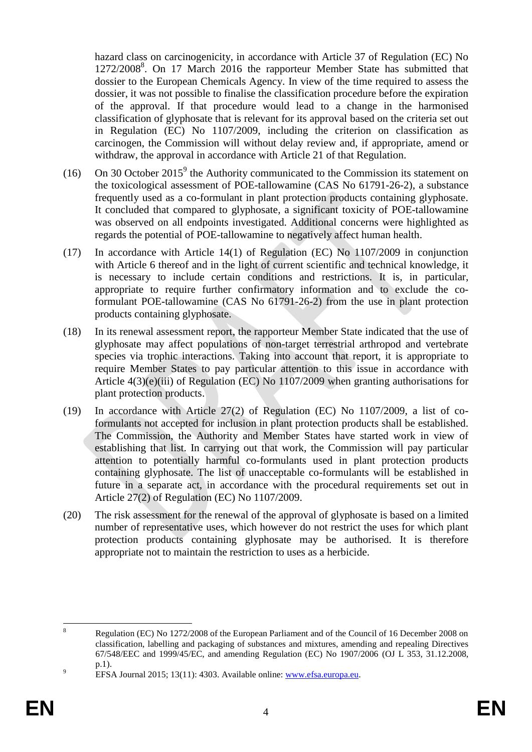hazard class on carcinogenicity, in accordance with Article 37 of Regulation (EC) No 1272/2008<sup>8</sup>. On 17 March 2016 the rapporteur Member State has submitted that dossier to the European Chemicals Agency. In view of the time required to assess the dossier, it was not possible to finalise the classification procedure before the expiration of the approval. If that procedure would lead to a change in the harmonised classification of glyphosate that is relevant for its approval based on the criteria set out in Regulation (EC) No 1107/2009, including the criterion on classification as carcinogen, the Commission will without delay review and, if appropriate, amend or withdraw, the approval in accordance with Article 21 of that Regulation.

- (16) On 30 October 2015<sup>9</sup> the Authority communicated to the Commission its statement on the toxicological assessment of POE-tallowamine (CAS No 61791-26-2), a substance frequently used as a co-formulant in plant protection products containing glyphosate. It concluded that compared to glyphosate, a significant toxicity of POE-tallowamine was observed on all endpoints investigated. Additional concerns were highlighted as regards the potential of POE-tallowamine to negatively affect human health.
- (17) In accordance with Article 14(1) of Regulation (EC) No 1107/2009 in conjunction with Article 6 thereof and in the light of current scientific and technical knowledge, it is necessary to include certain conditions and restrictions. It is, in particular, appropriate to require further confirmatory information and to exclude the coformulant POE-tallowamine (CAS No 61791-26-2) from the use in plant protection products containing glyphosate.
- (18) In its renewal assessment report, the rapporteur Member State indicated that the use of glyphosate may affect populations of non-target terrestrial arthropod and vertebrate species via trophic interactions. Taking into account that report, it is appropriate to require Member States to pay particular attention to this issue in accordance with Article 4(3)(e)(iii) of Regulation (EC) No 1107/2009 when granting authorisations for plant protection products.
- (19) In accordance with Article 27(2) of Regulation (EC) No 1107/2009, a list of coformulants not accepted for inclusion in plant protection products shall be established. The Commission, the Authority and Member States have started work in view of establishing that list. In carrying out that work, the Commission will pay particular attention to potentially harmful co-formulants used in plant protection products containing glyphosate. The list of unacceptable co-formulants will be established in future in a separate act, in accordance with the procedural requirements set out in Article 27(2) of Regulation (EC) No 1107/2009.
- (20) The risk assessment for the renewal of the approval of glyphosate is based on a limited number of representative uses, which however do not restrict the uses for which plant protection products containing glyphosate may be authorised. It is therefore appropriate not to maintain the restriction to uses as a herbicide.

 $\overline{8}$ <sup>8</sup> Regulation (EC) No 1272/2008 of the European Parliament and of the Council of 16 December 2008 on classification, labelling and packaging of substances and mixtures, amending and repealing Directives 67/548/EEC and 1999/45/EC, and amending Regulation (EC) No 1907/2006 (OJ L 353, 31.12.2008, p.1).

<sup>9</sup> EFSA Journal 2015; 13(11): 4303. Available online: [www.efsa.europa.eu.](http://www.efsa.europa.eu/)